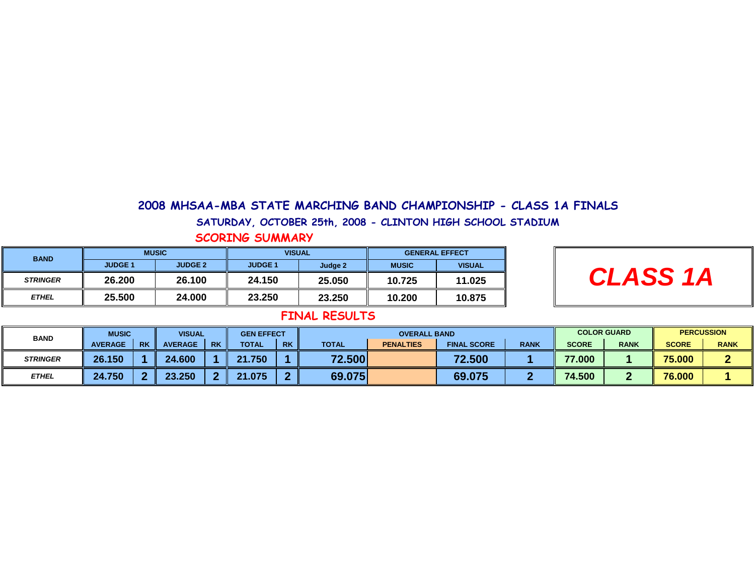#### 2008 MHSAA-MBA STATE MARCHING BAND CHAMPIONSHIP - CLASS 1A FINALS

#### SATURDAY, OCTOBER 25th, 2008 - CLINTON HIGH SCHOOL STADIUM

#### SCORING SUMMARY

| <b>BAND</b>     | <b>MUSIC</b>   |                | <b>VISUAL</b>  |         | <b>GENERAL EFFECT</b> |               |  |
|-----------------|----------------|----------------|----------------|---------|-----------------------|---------------|--|
|                 | <b>JUDGE 1</b> | <b>JUDGE 2</b> | <b>JUDGE 1</b> | Judge 2 | <b>MUSIC</b>          | <b>VISUAL</b> |  |
| <b>STRINGER</b> | 26.200         | 26.100         | 24.150         | 25.050  | 10.725                | 11.025        |  |
| <b>ETHEL</b>    | 25.500         | 24.000         | 23.250         | 23.250  | 10.200                | 10.875        |  |

# **CLASS 1A**

| <b>BAND</b>     | <b>MUSIC</b>                | <b>VISUAL</b>  |           | <b>GEN EFFECT</b> |           |              | <b>OVERALL BAND</b> |                    |             |              | <b>COLOR GUARD</b> |              | <b>PERCUSSION</b> |  |
|-----------------|-----------------------------|----------------|-----------|-------------------|-----------|--------------|---------------------|--------------------|-------------|--------------|--------------------|--------------|-------------------|--|
|                 | <b>RK</b><br><b>AVERAGE</b> | <b>AVERAGE</b> | <b>RK</b> | <b>TOTAL</b>      | <b>RK</b> | <b>TOTAL</b> | <b>PENALTIES</b>    | <b>FINAL SCORE</b> | <b>RANK</b> | <b>SCORE</b> | <b>RANK</b>        | <b>SCORE</b> | <b>RANK</b>       |  |
| <b>STRINGER</b> | 26.150                      | 24.600         |           | .750<br>-94       |           | 72.500       |                     | 72.500             |             | 77.000       |                    | 75.000       |                   |  |
| <b>ETHEL</b>    | 24.750                      | 23.250<br>…    | -         | 21.075            |           | 69.075       |                     | 69.075             |             | 74.500       |                    | 76.000       |                   |  |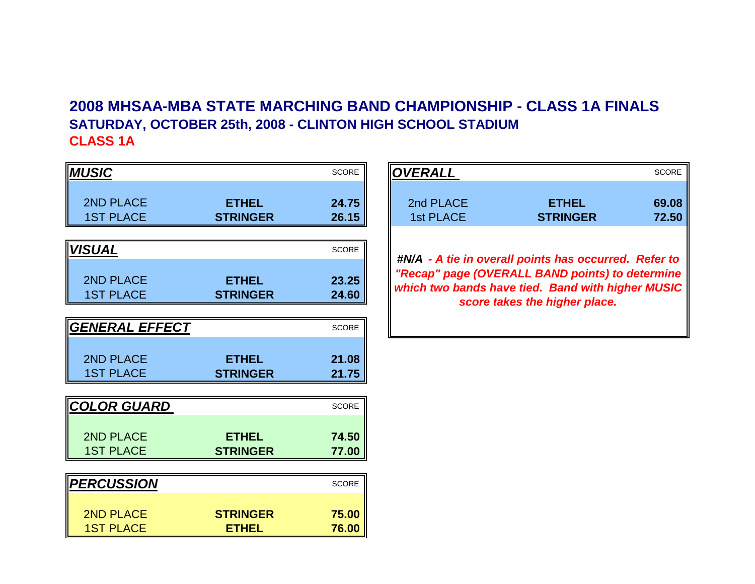# **2008 MHSAA-MBA STATE MARCHING BAND CHAMPIONSHIP - CLASS 1A FINALSSATURDAY, OCTOBER 25th, 2008 - CLINTON HIGH SCHOOL STADIUMCLASS 1A**

| <b>MUSIC</b>                         |                                 | <b>SCORE</b>   | <b>OVERALL</b>         |                                                                                                                                       | <b>SCORE</b>   |
|--------------------------------------|---------------------------------|----------------|------------------------|---------------------------------------------------------------------------------------------------------------------------------------|----------------|
| <b>2ND PLACE</b><br><b>1ST PLACE</b> | <b>ETHEL</b><br><b>STRINGER</b> | 24.75<br>26.15 | 2nd PLACE<br>1st PLACE | <b>ETHEL</b><br><b>STRINGER</b>                                                                                                       | 69.08<br>72.50 |
| <b>VISUAL</b>                        |                                 | <b>SCORE</b>   |                        | #N/A - A tie in overall points has occurred. Refer to                                                                                 |                |
| 2ND PLACE<br><b>1ST PLACE</b>        | <b>ETHEL</b><br><b>STRINGER</b> | 23.25<br>24.60 |                        | "Recap" page (OVERALL BAND points) to determine<br>which two bands have tied. Band with higher MUSIC<br>score takes the higher place. |                |
| <b>GENERAL EFFECT</b>                |                                 | <b>SCORE</b>   |                        |                                                                                                                                       |                |
| 2ND PLACE<br><b>1ST PLACE</b>        | <b>ETHEL</b><br><b>STRINGER</b> | 21.08<br>21.75 |                        |                                                                                                                                       |                |
| <b>COLOR GUARD</b>                   |                                 | <b>SCORE</b>   |                        |                                                                                                                                       |                |
| 2ND PLACE<br><b>1ST PLACE</b>        | <b>ETHEL</b><br><b>STRINGER</b> | 74.50<br>77.00 |                        |                                                                                                                                       |                |
| <b>PERCUSSION</b>                    |                                 | <b>SCORE</b>   |                        |                                                                                                                                       |                |
| <b>2ND PLACE</b><br><b>1ST PLACE</b> | <b>STRINGER</b><br><b>ETHEL</b> | 75.00<br>76.00 |                        |                                                                                                                                       |                |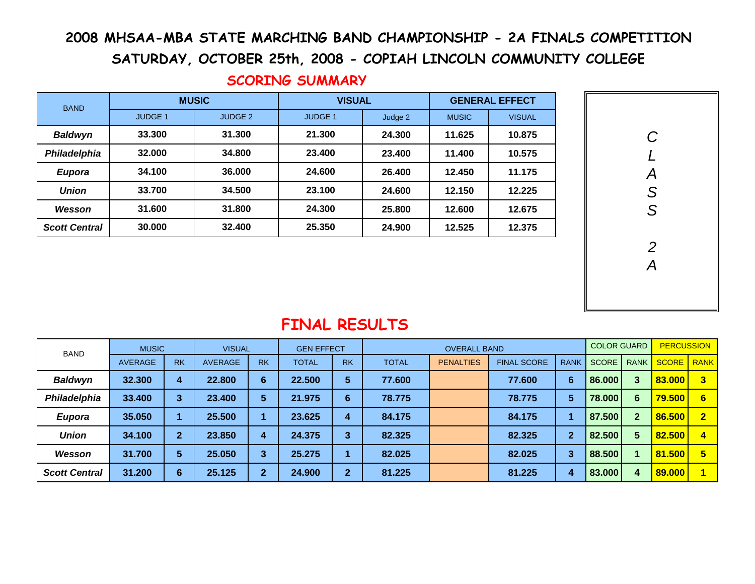# 2008 MHSAA-MBA STATE MARCHING BAND CHAMPIONSHIP - 2A FINALS COMPETITION

SATURDAY, OCTOBER 25th, 2008 - COPIAH LINCOLN COMMUNITY COLLEGE

| <b>BAND</b>          |                | <b>MUSIC</b>       | <b>VISUAL</b>  |         | <b>GENERAL EFFECT</b> |               |  |
|----------------------|----------------|--------------------|----------------|---------|-----------------------|---------------|--|
|                      | <b>JUDGE 1</b> | JUDGE <sub>2</sub> | <b>JUDGE 1</b> | Judge 2 | <b>MUSIC</b>          | <b>VISUAL</b> |  |
| <b>Baldwyn</b>       | 33.300         | 31.300             | 21.300         | 24.300  | 11.625                | 10.875        |  |
| Philadelphia         | 32.000         | 34.800             | 23.400         | 23.400  | 11.400                | 10.575        |  |
| <b>Eupora</b>        | 34.100         | 36.000             | 24.600         | 26.400  | 12.450                | 11.175        |  |
| <b>Union</b>         | 33.700         | 34.500             | 23.100         | 24.600  | 12.150                | 12.225        |  |
| Wesson               | 31.600         | 31.800             | 24.300         | 25.800  | 12.600                | 12.675        |  |
| <b>Scott Central</b> | 30,000         | 32.400             | 25.350         | 24.900  | 12.525                | 12.375        |  |

# SCORING SUMMARY



| <b>BAND</b>          | <b>MUSIC</b>   |           | <b>VISUAL</b>  |           | <b>GEN EFFECT</b> |                 | <b>OVERALL BAND</b> |                  |                    |                | <b>COLOR GUARD</b> |              | <b>PERCUSSION</b> |                         |
|----------------------|----------------|-----------|----------------|-----------|-------------------|-----------------|---------------------|------------------|--------------------|----------------|--------------------|--------------|-------------------|-------------------------|
|                      | <b>AVERAGE</b> | <b>RK</b> | <b>AVERAGE</b> | <b>RK</b> | <b>TOTAL</b>      | <b>RK</b>       | <b>TOTAL</b>        | <b>PENALTIES</b> | <b>FINAL SCORE</b> | <b>RANK</b>    | <b>SCORE</b>       | <b>RANK</b>  | <b>SCORE</b>      | <b>RANK</b>             |
| <b>Baldwyn</b>       | 32.300         | 4         | 22.800         | 6         | 22.500            | 5               | 77.600              |                  | 77.600             | 6              | 86.000             |              | 83.000            | 3                       |
| Philadelphia         | 33.400         | 3         | 23.400         | 5         | 21.975            | $6\phantom{1}6$ | 78.775              |                  | 78.775             | 5              | 78.000             | 6            | 79.500            | 6                       |
| <b>Eupora</b>        | 35.050         |           | 25.500         |           | 23.625            | 4               | 84.175              |                  | 84.175             |                | 87.500             | $\mathbf{2}$ | 86.500            | $\overline{\mathbf{2}}$ |
| <b>Union</b>         | 34.100         | 2         | 23.850         | 4         | 24.375            | 3               | 82.325              |                  | 82.325             | $\overline{2}$ | 82.500             | 5            | 82.500            | 4                       |
| Wesson               | 31.700         | 5         | 25.050         | 3         | 25.275            |                 | 82.025              |                  | 82.025             | 3              | 88.500             |              | 81.500            | 5                       |
| <b>Scott Central</b> | 31.200         | 6         | 25.125         | o.        | 24.900            | $\mathbf{2}$    | 81.225              |                  | 81.225             | 4              | 83.000             | 4            | 89.000            |                         |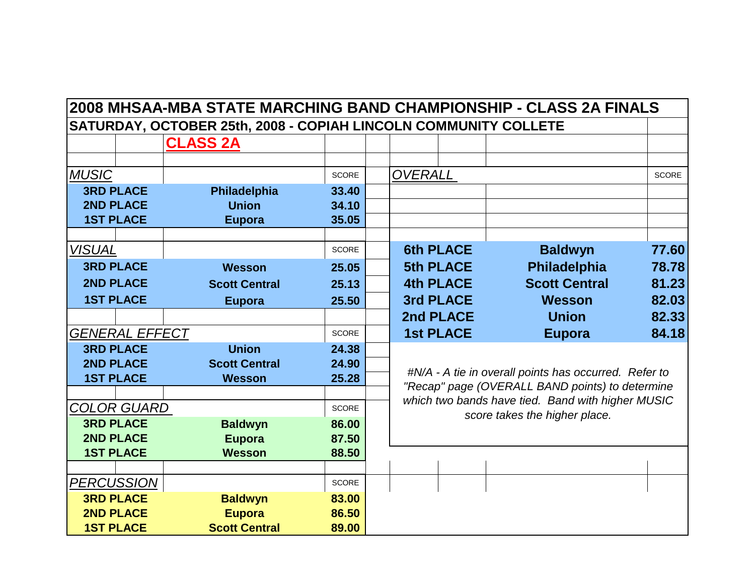|                                      | 2008 MHSAA-MBA STATE MARCHING BAND CHAMPIONSHIP - CLASS 2A FINALS |                |                  |                                                                                                      |              |
|--------------------------------------|-------------------------------------------------------------------|----------------|------------------|------------------------------------------------------------------------------------------------------|--------------|
|                                      | SATURDAY, OCTOBER 25th, 2008 - COPIAH LINCOLN COMMUNITY COLLETE   |                |                  |                                                                                                      |              |
|                                      | <b>CLASS 2A</b>                                                   |                |                  |                                                                                                      |              |
|                                      |                                                                   |                |                  |                                                                                                      |              |
| <b>MUSIC</b>                         |                                                                   | <b>SCORE</b>   | <b>OVERALL</b>   |                                                                                                      | <b>SCORE</b> |
| <b>3RD PLACE</b>                     | Philadelphia                                                      | 33.40          |                  |                                                                                                      |              |
| <b>2ND PLACE</b>                     | <b>Union</b>                                                      | 34.10          |                  |                                                                                                      |              |
| <b>1ST PLACE</b>                     | <b>Eupora</b>                                                     | 35.05          |                  |                                                                                                      |              |
|                                      |                                                                   |                |                  |                                                                                                      |              |
| <i><b>VISUAL</b></i>                 |                                                                   | <b>SCORE</b>   | <b>6th PLACE</b> | <b>Baldwyn</b>                                                                                       | 77.60        |
| <b>3RD PLACE</b>                     | Wesson                                                            | 25.05          | <b>5th PLACE</b> | Philadelphia                                                                                         | 78.78        |
| <b>2ND PLACE</b>                     | <b>Scott Central</b>                                              | 25.13          | <b>4th PLACE</b> | <b>Scott Central</b>                                                                                 | 81.23        |
| <b>1ST PLACE</b>                     | <b>Eupora</b>                                                     | 25.50          | <b>3rd PLACE</b> | <b>Wesson</b>                                                                                        | 82.03        |
|                                      |                                                                   |                | 2nd PLACE        | <b>Union</b>                                                                                         | 82.33        |
| <b>GENERAL EFFECT</b>                |                                                                   | <b>SCORE</b>   | <b>1st PLACE</b> | <b>Eupora</b>                                                                                        | 84.18        |
| <b>3RD PLACE</b>                     | <b>Union</b>                                                      | 24.38          |                  |                                                                                                      |              |
| <b>2ND PLACE</b>                     | <b>Scott Central</b>                                              | 24.90          |                  |                                                                                                      |              |
| <b>1ST PLACE</b>                     | <b>Wesson</b>                                                     | 25.28          |                  | #N/A - A tie in overall points has occurred. Refer to                                                |              |
|                                      |                                                                   |                |                  | "Recap" page (OVERALL BAND points) to determine<br>which two bands have tied. Band with higher MUSIC |              |
| <b>COLOR GUARD</b>                   |                                                                   | <b>SCORE</b>   |                  | score takes the higher place.                                                                        |              |
| <b>3RD PLACE</b>                     | <b>Baldwyn</b>                                                    | 86.00          |                  |                                                                                                      |              |
| <b>2ND PLACE</b>                     | <b>Eupora</b>                                                     | 87.50          |                  |                                                                                                      |              |
| <b>1ST PLACE</b>                     | <b>Wesson</b>                                                     | 88.50          |                  |                                                                                                      |              |
|                                      |                                                                   |                |                  |                                                                                                      |              |
| <b>PERCUSSION</b>                    |                                                                   | <b>SCORE</b>   |                  |                                                                                                      |              |
| <b>3RD PLACE</b>                     | <b>Baldwyn</b>                                                    | 83.00          |                  |                                                                                                      |              |
| <b>2ND PLACE</b><br><b>1ST PLACE</b> | <b>Eupora</b><br><b>Scott Central</b>                             | 86.50<br>89.00 |                  |                                                                                                      |              |
|                                      |                                                                   |                |                  |                                                                                                      |              |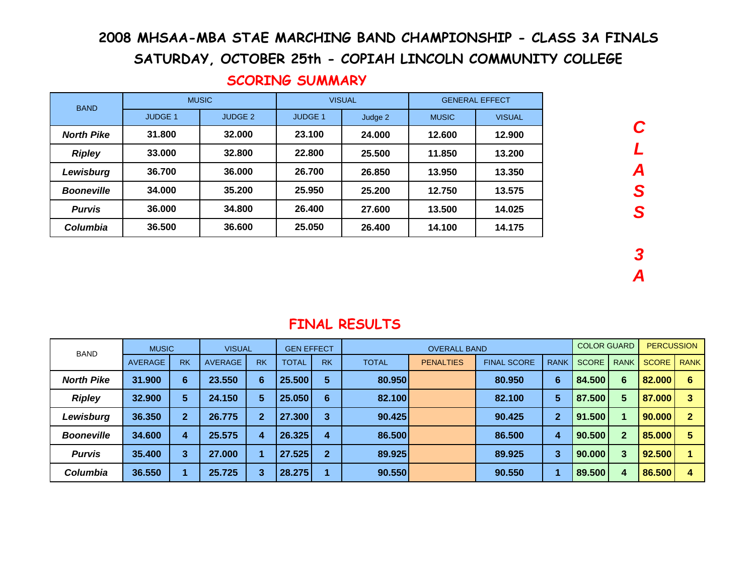# 2008 MHSAA-MBA STAE MARCHING BAND CHAMPIONSHIP - CLASS 3A FINALS

SATURDAY, OCTOBER 25th - COPIAH LINCOLN COMMUNITY COLLEGE

| <b>BAND</b>       |                | <b>MUSIC</b>   |                | <b>VISUAL</b> | <b>GENERAL EFFECT</b> |               |  |
|-------------------|----------------|----------------|----------------|---------------|-----------------------|---------------|--|
|                   | <b>JUDGE 1</b> | <b>JUDGE 2</b> | <b>JUDGE 1</b> | Judge 2       | <b>MUSIC</b>          | <b>VISUAL</b> |  |
| <b>North Pike</b> | 31.800         | 32.000         | 23.100         | 24.000        | 12.600                | 12.900        |  |
| <b>Ripley</b>     | 33.000         | 32.800         | 22.800         | 25.500        | 11.850                | 13.200        |  |
| Lewisburg         | 36.700         | 36,000         | 26.700         | 26.850        | 13.950                | 13.350        |  |
| <b>Booneville</b> | 34.000         | 35.200         | 25.950         | 25.200        | 12.750                | 13.575        |  |
| <b>Purvis</b>     | 36.000         | 34.800         | 26.400         | 27.600        | 13.500                | 14.025        |  |
| Columbia          | 36.500         | 36,600         | 25.050         | 26.400        | 14.100                | 14.175        |  |

### SCORING SUMMARY

**3A**

**C**

**L**

**A**

**S**

**S**

| <b>BAND</b>       | <b>MUSIC</b>   |              | <b>VISUAL</b>  |                     |              | <b>GEN EFFECT</b> |              | <b>OVERALL BAND</b> |                    |                | <b>COLOR GUARD</b> |                 | <b>PERCUSSION</b> |             |
|-------------------|----------------|--------------|----------------|---------------------|--------------|-------------------|--------------|---------------------|--------------------|----------------|--------------------|-----------------|-------------------|-------------|
|                   | <b>AVERAGE</b> | <b>RK</b>    | <b>AVERAGE</b> | <b>RK</b>           | <b>TOTAL</b> | <b>RK</b>         | <b>TOTAL</b> | <b>PENALTIES</b>    | <b>FINAL SCORE</b> | <b>RANK</b>    | <b>SCORE</b>       | <b>RANK</b>     | <b>SCORE</b>      | <b>RANK</b> |
| <b>North Pike</b> | 31.900         | 6            | 23.550         | $6\phantom{1}6$     | 25.500       | 5                 | 80.950       |                     | 80.950             | 6              | 84.500             | 6               | 82.000            | 6           |
| <b>Ripley</b>     | 32.900         | 5            | 24.150         | $5\phantom{1}$      | 25.050       | 6                 | 82.100       |                     | 82.100             | 5              | 87.500             | $5\phantom{.0}$ | 87.000            |             |
| Lewisburg         | 36.350         | $\mathbf{2}$ | 26.775         | $\overline{2}$      | 27.300       | 3                 | 90.425       |                     | 90.425             | $\overline{2}$ | 91.500             |                 | 90.000            | ≘           |
| <b>Booneville</b> | 34.600         | 4            | 25.575         | $\overline{\bf{4}}$ | 26.325       | 4                 | 86.500       |                     | 86.500             | 4              | 90.500             | $\overline{2}$  | 85.000            | 5           |
| <b>Purvis</b>     | 35.400         | 3            | 27,000         | 1                   | 27.525       | $\mathbf{2}$      | 89.925       |                     | 89.925             | 3              | 90.000             | 3               | 92.500            |             |
| <b>Columbia</b>   | 36.550         |              | 25.725         | 3                   | 28.275       |                   | 90.550       |                     | 90.550             |                | 89.500             | 4               | 86.500            | 4           |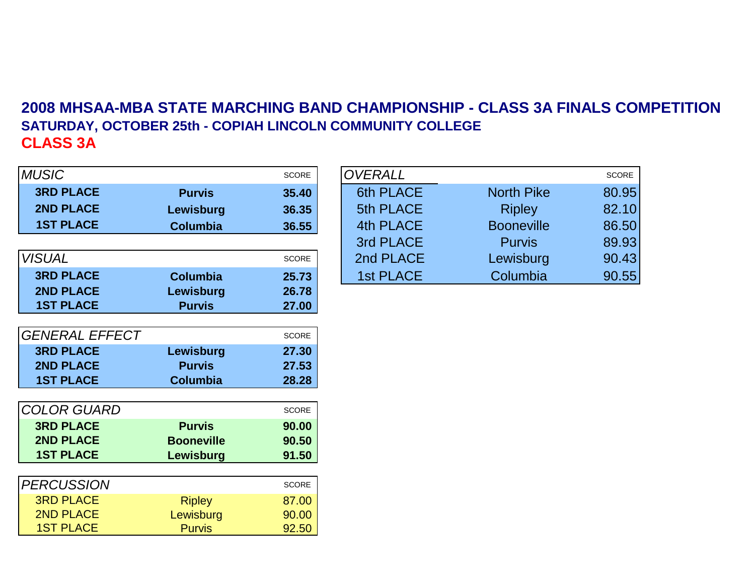# **2008 MHSAA-MBA STATE MARCHING BAND CHAMPIONSHIP - CLASS 3A FINALS COMPETITIONSATURDAY, OCTOBER 25th - COPIAH LINCOLN COMMUNITY COLLEGECLASS 3A**

| <b>MUSIC</b>          |                   | <b>SCORE</b> | <b>OVERALL</b>   |
|-----------------------|-------------------|--------------|------------------|
| <b>3RD PLACE</b>      | <b>Purvis</b>     | 35.40        | <b>6th PLACE</b> |
| <b>2ND PLACE</b>      | Lewisburg         | 36.35        | <b>5th PLACE</b> |
| <b>1ST PLACE</b>      | <b>Columbia</b>   | 36.55        | <b>4th PLACE</b> |
|                       |                   |              | 3rd PLACE        |
| <b>VISUAL</b>         |                   | <b>SCORE</b> | 2nd PLACE        |
| <b>3RD PLACE</b>      | <b>Columbia</b>   | 25.73        | <b>1st PLACE</b> |
| <b>2ND PLACE</b>      | Lewisburg         | 26.78        |                  |
| <b>1ST PLACE</b>      | <b>Purvis</b>     | 27.00        |                  |
|                       |                   |              |                  |
| <b>GENERAL EFFECT</b> |                   | <b>SCORE</b> |                  |
| <b>3RD PLACE</b>      | Lewisburg         | 27.30        |                  |
| <b>2ND PLACE</b>      | <b>Purvis</b>     | 27.53        |                  |
| <b>1ST PLACE</b>      | <b>Columbia</b>   | 28.28        |                  |
|                       |                   |              |                  |
| <b>COLOR GUARD</b>    |                   | <b>SCORE</b> |                  |
| <b>3RD PLACE</b>      | <b>Purvis</b>     | 90.00        |                  |
| <b>2ND PLACE</b>      | <b>Booneville</b> | 90.50        |                  |
| <b>1ST PLACE</b>      | Lewisburg         | 91.50        |                  |
|                       |                   |              |                  |
| <b>PERCUSSION</b>     |                   | <b>SCORE</b> |                  |
| <b>3RD PLACE</b>      | <b>Ripley</b>     | 87.00        |                  |
| <b>2ND PLACE</b>      | Lewisburg         | 90.00        |                  |
| <b>1ST PLACE</b>      | <b>Purvis</b>     | 92.50        |                  |

|              |                 | <b>SCORE</b> | <b>OVERALL</b>   |                   | SCORE |
|--------------|-----------------|--------------|------------------|-------------------|-------|
| <b>PLACE</b> | <b>Purvis</b>   | 35.40        | 6th PLACE        | <b>North Pike</b> | 80.95 |
| <b>PLACE</b> | Lewisburg       | 36.35        | 5th PLACE        | <b>Ripley</b>     | 82.10 |
| <b>PLACE</b> | <b>Columbia</b> | 36.55        | 4th PLACE        | <b>Booneville</b> | 86.50 |
|              |                 |              | 3rd PLACE        | <b>Purvis</b>     | 89.93 |
|              |                 | SCORE        | 2nd PLACE        | Lewisburg         | 90.43 |
| <b>PLACE</b> | <b>Columbia</b> | 25.73        | <b>1st PLACE</b> | Columbia          | 90.55 |
|              |                 |              |                  |                   |       |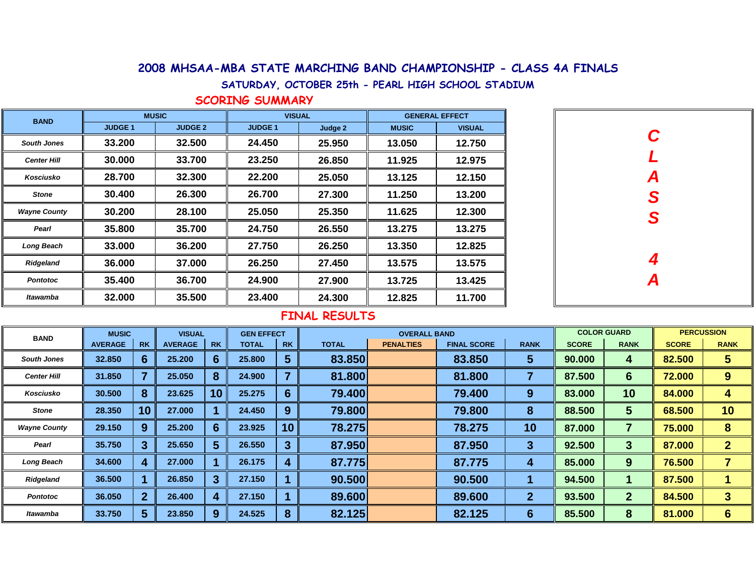#### 2008 MHSAA-MBA STATE MARCHING BAND CHAMPIONSHIP - CLASS 4A FINALS

SATURDAY, OCTOBER 25th - PEARL HIGH SCHOOL STADIUM

SCORING SUMMARY

| <b>BAND</b>         | <b>MUSIC</b>   |                | <b>VISUAL</b> |         | <b>GENERAL EFFECT</b> |               |  |
|---------------------|----------------|----------------|---------------|---------|-----------------------|---------------|--|
|                     | <b>JUDGE 1</b> | <b>JUDGE 2</b> | <b>JUDGE1</b> | Judge 2 | <b>MUSIC</b>          | <b>VISUAL</b> |  |
| <b>South Jones</b>  | 33.200         | 32.500         | 24.450        | 25.950  | 13.050                | 12.750        |  |
| <b>Center Hill</b>  | 30.000         | 33.700         | 23.250        | 26.850  | 11.925                | 12.975        |  |
| Kosciusko           | 28.700         | 32.300         | 22.200        | 25.050  | 13.125                | 12.150        |  |
| <b>Stone</b>        | 30.400         | 26.300         | 26.700        | 27.300  | 11.250                | 13.200        |  |
| <b>Wayne County</b> | 30.200         | 28.100         | 25.050        | 25.350  | 11.625                | 12.300        |  |
| Pearl               | 35.800         | 35.700         | 24.750        | 26.550  | 13.275                | 13.275        |  |
| <b>Long Beach</b>   | 33.000         | 36.200         | 27.750        | 26.250  | 13.350                | 12.825        |  |
| Ridgeland           | 36.000         | 37.000         | 26.250        | 27.450  | 13.575                | 13.575        |  |
| <b>Pontotoc</b>     | 35.400         | 36.700         | 24.900        | 27.900  | 13.725                | 13.425        |  |
| Itawamba            | 32.000         | 35.500         | 23.400        | 24.300  | 12.825                | 11.700        |  |

| $\mathbf C$   |
|---------------|
| $\mathbf{L}$  |
|               |
| A<br>S<br>S   |
|               |
|               |
| $\frac{4}{A}$ |
|               |
|               |

| <b>BAND</b>         | <b>MUSIC</b><br><b>VISUAL</b><br><b>GEN EFFECT</b> |                 | <b>OVERALL BAND</b> |           | <b>PERCUSSION</b><br><b>COLOR GUARD</b> |                |              |                  |                    |                |              |              |              |              |
|---------------------|----------------------------------------------------|-----------------|---------------------|-----------|-----------------------------------------|----------------|--------------|------------------|--------------------|----------------|--------------|--------------|--------------|--------------|
|                     | <b>AVERAGE</b>                                     | <b>RK</b>       | <b>AVERAGE</b>      | <b>RK</b> | <b>TOTAL</b>                            | <b>RK</b>      | <b>TOTAL</b> | <b>PENALTIES</b> | <b>FINAL SCORE</b> | <b>RANK</b>    | <b>SCORE</b> | <b>RANK</b>  | <b>SCORE</b> | <b>RANK</b>  |
| <b>South Jones</b>  | 32,850                                             | 6               | 25.200              | 6         | 25,800                                  | 5              | 83.850       |                  | 83.850             | 5              | 90.000       | 4            | 82.500       | 5            |
| <b>Center Hill</b>  | 31.850                                             |                 | 25.050              | 8         | 24.900                                  | 7              | 81.800       |                  | 81,800             | 7              | 87.500       | 6            | 72.000       | 9            |
| Kosciusko           | 30.500                                             | 8               | 23.625              | 10        | 25.275                                  | 6              | 79.400       |                  | 79.400             | 9              | 83.000       | 10           | 84.000       | 4            |
| <b>Stone</b>        | 28.350                                             | 10 <sup>°</sup> | 27,000              |           | 24.450                                  | 9              | 79.800       |                  | 79,800             | 8              | 88.500       | 5            | 68.500       | 10           |
| <b>Wayne County</b> | 29.150                                             | 9               | 25.200              | 6         | 23.925                                  | 10             | 78.275       |                  | 78.275             | 10             | 87.000       |              | 75.000       | 8            |
| Pearl               | 35.750                                             | 3               | 25.650              | 5         | 26.550                                  | $\overline{3}$ | 87.950       |                  | 87.950             | 3              | 92.500       | 3            | 87.000       | $\mathbf{2}$ |
| <b>Long Beach</b>   | 34.600                                             | 4               | 27,000              |           | 26.175                                  | 4              | 87.775       |                  | 87.775             | 4              | 85.000       | 9            | 76.500       |              |
| Ridgeland           | 36.500                                             |                 | 26.850              | 3         | 27.150                                  |                | 90.500       |                  | 90.500             |                | 94.500       |              | 87.500       |              |
| <b>Pontotoc</b>     | 36.050                                             | $\mathbf{2}$    | 26,400              | 4         | 27.150                                  |                | 89.600       |                  | 89,600             | $\overline{2}$ | 93.500       | $\mathbf{2}$ | 84.500       | 3            |
| Itawamba            | 33.750                                             | 5               | 23,850              | 9         | 24.525                                  | 8              | 82.125       |                  | 82.125             | 6              | 85.500       | 8            | 81.000       | 6            |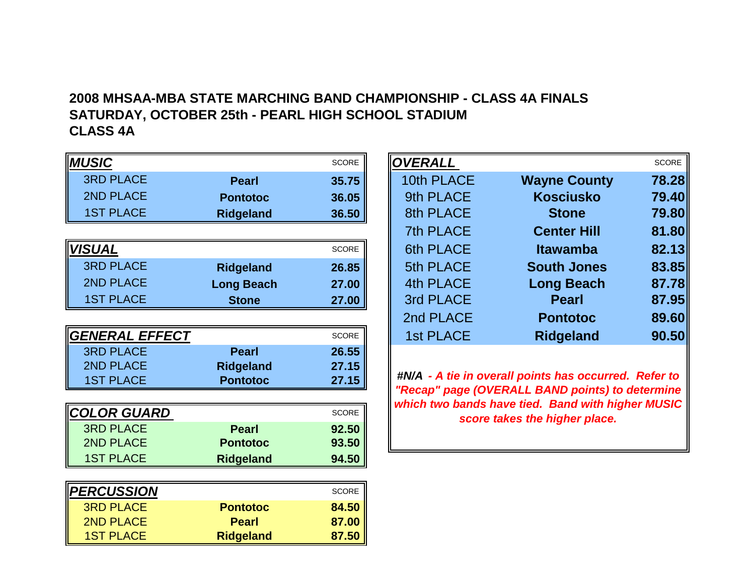## **2008 MHSAA-MBA STATE MARCHING BAND CHAMPIONSHIP - CLASS 4A FINALSSATURDAY, OCTOBER 25th - PEARL HIGH SCHOOL STADIUMCLASS 4A**

| <b>MUSIC</b>       |                   | <b>SCORE</b> |
|--------------------|-------------------|--------------|
| <b>3RD PLACE</b>   | <b>Pearl</b>      | 35.75        |
| <b>2ND PLACE</b>   | <b>Pontotoc</b>   | 36.05        |
| <b>1ST PLACE</b>   | <b>Ridgeland</b>  | 36.50        |
|                    |                   |              |
| <b>VISUAL</b>      |                   | <b>SCORE</b> |
| <b>3RD PLACE</b>   | <b>Ridgeland</b>  | 26.85        |
| <b>2ND PLACE</b>   | <b>Long Beach</b> | 27.00        |
| <b>1ST PLACE</b>   | <b>Stone</b>      | 27.00        |
|                    |                   |              |
| GENERAL EFFECT     |                   | <b>SCORE</b> |
| <b>3RD PLACE</b>   | <b>Pearl</b>      | 26.55        |
| <b>2ND PLACE</b>   | <b>Ridgeland</b>  | 27.15        |
| <b>1ST PLACE</b>   | <b>Pontotoc</b>   | 27.15        |
|                    |                   |              |
| <b>COLOR GUARD</b> |                   | <b>SCORE</b> |
| <b>3RD PLACE</b>   | <b>Pearl</b>      | 92.50        |
| <b>2ND PLACE</b>   | <b>Pontotoc</b>   | 93.50        |
| <b>1ST PLACE</b>   | <b>Ridgeland</b>  | 94.50        |
|                    |                   |              |
| <b>PERCUSSION</b>  |                   | <b>SCORE</b> |
| <b>3RD PLACE</b>   | <b>Pontotoc</b>   | 84.50        |
| <b>2ND PLACE</b>   | <b>Pearl</b>      | 87.00        |
| <b>1ST PLACE</b>   | <b>Ridgeland</b>  | 87.50        |

|                    |                   | <b>SCORE</b> | <b>OVERALL</b>   |                     | SCORE |
|--------------------|-------------------|--------------|------------------|---------------------|-------|
| <b>PLACE</b>       | <b>Pearl</b>      | 35.75        | 10th PLACE       | <b>Wayne County</b> | 78.28 |
| <b>PLACE</b>       | <b>Pontotoc</b>   | 36.05        | 9th PLACE        | <b>Kosciusko</b>    | 79.40 |
| <b>PLACE</b>       | <b>Ridgeland</b>  | 36.50        | 8th PLACE        | <b>Stone</b>        | 79.80 |
|                    |                   |              | 7th PLACE        | <b>Center Hill</b>  | 81.80 |
|                    |                   | SCORE        | <b>6th PLACE</b> | <b>Itawamba</b>     | 82.13 |
| <b>PLACE</b>       | <b>Ridgeland</b>  | 26.85        | 5th PLACE        | <b>South Jones</b>  | 83.85 |
| <b>PLACE</b>       | <b>Long Beach</b> | 27.00        | <b>4th PLACE</b> | <b>Long Beach</b>   | 87.78 |
| <b>PLACE</b>       | <b>Stone</b>      | 27.00        | 3rd PLACE        | <b>Pearl</b>        | 87.95 |
|                    |                   |              | 2nd PLACE        | <b>Pontotoc</b>     | 89.60 |
| RAL EFF <u>ECT</u> |                   | <b>SCORE</b> | <b>1st PLACE</b> | <b>Ridgeland</b>    | 90.50 |
| -----              |                   |              |                  |                     |       |

**#N/A - A tie in overall points has occurred. Refer to "Recap" page (OVERALL BAND points) to determine which two bands have tied. Band with higher MUSIC score takes the higher place.**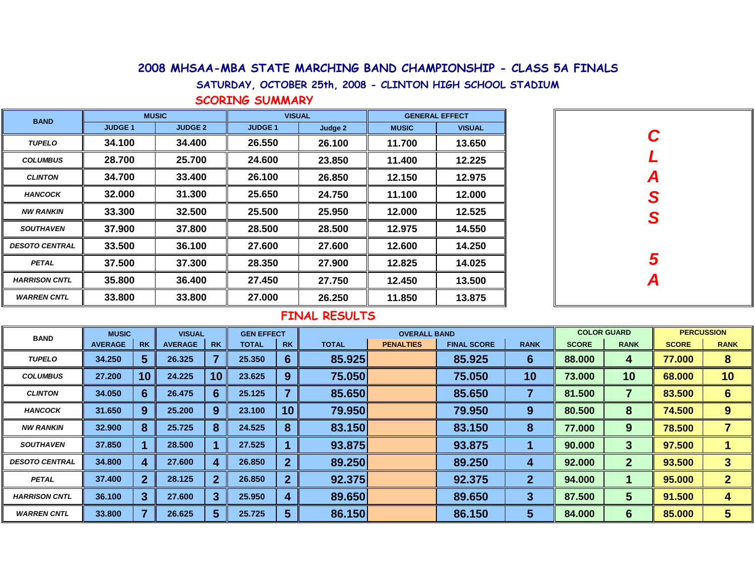#### 2008 MHSAA-MBA STATE MARCHING BAND CHAMPIONSHIP - CLASS 5A FINALS

SATURDAY, OCTOBER 25th, 2008 - CLINTON HIGH SCHOOL STADIUM

SCORING SUMMARY

| <b>BAND</b>           | <b>MUSIC</b>  |                | <b>VISUAL</b> |         | <b>GENERAL EFFECT</b> |               |  |
|-----------------------|---------------|----------------|---------------|---------|-----------------------|---------------|--|
|                       | <b>JUDGE1</b> | <b>JUDGE 2</b> | <b>JUDGE1</b> | Judge 2 | <b>MUSIC</b>          | <b>VISUAL</b> |  |
| <b>TUPELO</b>         | 34.100        | 34.400         | 26.550        | 26.100  | 11.700                | 13.650        |  |
| <b>COLUMBUS</b>       | 28.700        | 25.700         | 24.600        | 23.850  | 11.400                | 12.225        |  |
| <b>CLINTON</b>        | 34.700        | 33.400         | 26.100        | 26.850  | 12.150                | 12.975        |  |
| <b>HANCOCK</b>        | 32.000        | 31.300         | 25.650        | 24.750  | 11.100                | 12.000        |  |
| <b>NW RANKIN</b>      | 33.300        | 32.500         | 25.500        | 25.950  | 12.000                | 12.525        |  |
| <b>SOUTHAVEN</b>      | 37.900        | 37.800         | 28.500        | 28.500  | 12.975                | 14.550        |  |
| <b>DESOTO CENTRAL</b> | 33.500        | 36.100         | 27.600        | 27.600  | 12.600                | 14.250        |  |
| <b>PETAL</b>          | 37.500        | 37.300         | 28.350        | 27.900  | 12.825                | 14.025        |  |
| <b>HARRISON CNTL</b>  | 35.800        | 36.400         | 27.450        | 27.750  | 12.450                | 13.500        |  |
| <b>WARREN CNTL</b>    | 33.800        | 33.800         | 27.000        | 26.250  | 11.850                | 13.875        |  |

| C<br>L        |
|---------------|
|               |
|               |
| A<br>S<br>S   |
|               |
| $\frac{5}{4}$ |
|               |
|               |

| <b>BAND</b>           | <b>MUSIC</b>   |              | <b>VISUAL</b>  |           | <b>GEN EFFECT</b> |              | <b>COLOR GUARD</b><br><b>OVERALL BAND</b> |                  |                    |              | <b>PERCUSSION</b> |              |              |              |
|-----------------------|----------------|--------------|----------------|-----------|-------------------|--------------|-------------------------------------------|------------------|--------------------|--------------|-------------------|--------------|--------------|--------------|
|                       | <b>AVERAGE</b> | <b>RK</b>    | <b>AVERAGE</b> | <b>RK</b> | <b>TOTAL</b>      | <b>RK</b>    | <b>TOTAL</b>                              | <b>PENALTIES</b> | <b>FINAL SCORE</b> | <b>RANK</b>  | <b>SCORE</b>      | <b>RANK</b>  | <b>SCORE</b> | <b>RANK</b>  |
| <b>TUPELO</b>         | 34.250         | 5            | 26.325         |           | 25,350            | 6            | 85.925                                    |                  | 85.925             | 6            | 88.000            | 4            | 77.000       | 8            |
| <b>COLUMBUS</b>       | 27.200         | 10           | 24.225         | 10        | 23.625            | 9            | 75.050                                    |                  | 75.050             | 10           | 73.000            | 10           | 68.000       | 10           |
| <b>CLINTON</b>        | 34.050         | O            | 26.475         | 6         | 25.125            |              | 85.650                                    |                  | 85.650             |              | 81.500            |              | 83.500       | $6 \,$       |
| <b>HANCOCK</b>        | 31.650         | 9            | 25.200         | 9         | 23.100            | 10           | 79.950                                    |                  | 79.950             | 9            | 80.500            | 8            | 74.500       | 9            |
| <b>NW RANKIN</b>      | 32.900         | 8            | 25.725         | 8         | 24.525            | 8            | 83.150                                    |                  | 83.150             | 8            | 77.000            | 9            | 78.500       |              |
| <b>SOUTHAVEN</b>      | 37.850         |              | 28,500         |           | 27.525            |              | 93.875                                    |                  | 93.875             |              | 90.000            | 3            | 97.500       |              |
| <b>DESOTO CENTRAL</b> | 34.800         |              | 27.600         |           | 26.850            | $\mathbf{2}$ | 89.250                                    |                  | 89.250             | 4            | 92.000            | $\mathbf{2}$ | 93.500       | 3            |
| <b>PETAL</b>          | 37.400         | $\mathbf{2}$ | 28.125         |           | 26,850            | $\mathbf{2}$ | 92.375                                    |                  | 92.375             | $\mathbf{2}$ | 94.000            |              | 95.000       | $\mathbf{2}$ |
| <b>HARRISON CNTL</b>  | 36.100         | 3            | 27.600         | 3         | 25.950            | 4            | 89.650                                    |                  | 89.650             | 3            | 87.500            | 5            | 91.500       | 4            |
| <b>WARREN CNTL</b>    | 33.800         |              | 26.625         | 5         | 25.725            | 5            | 86.150                                    |                  | 86.150             | 5            | 84.000            | 6            | 85.000       | 5            |